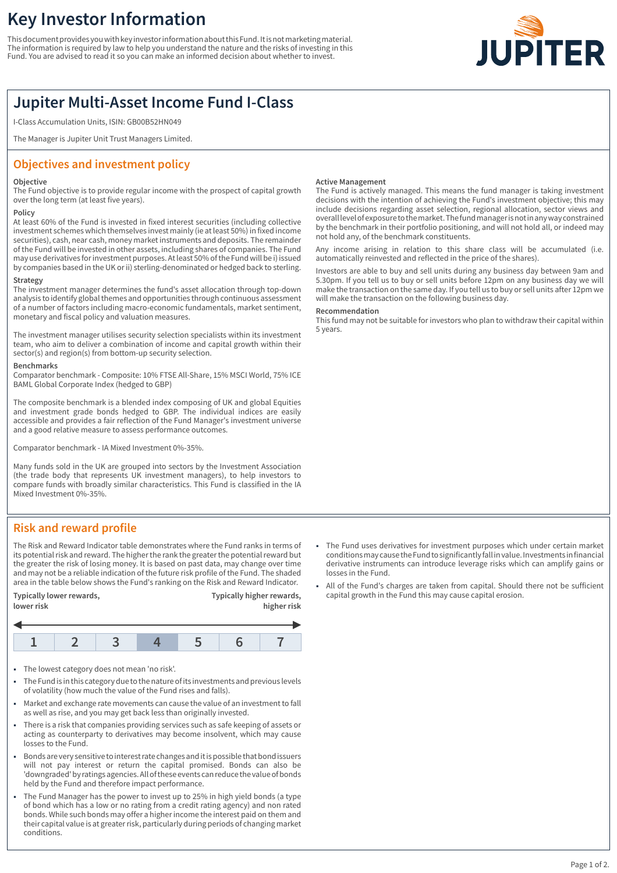# **Key Investor Information**

This document provides you with key investor information about this Fund. It is not marketing material. The information is required by law to help you understand the nature and the risks of investing in this Fund. You are advised to read it so you can make an informed decision about whether to invest.



## **Jupiter Multi-Asset Income Fund I-Class**

I-Class Accumulation Units, ISIN: GB00B52HN049

The Manager is Jupiter Unit Trust Managers Limited.

## **Objectives and investment policy**

#### **Objective**

The Fund objective is to provide regular income with the prospect of capital growth over the long term (at least five years).

### **Policy**

At least 60% of the Fund is invested in fixed interest securities (including collective investment schemes which themselves invest mainly (ie at least 50%) in fixed income securities), cash, near cash, money market instruments and deposits. The remainder of the Fund will be invested in other assets, including shares of companies. The Fund may use derivatives for investment purposes. At least 50% of the Fund will be i) issued by companies based in the UK or ii) sterling-denominated or hedged back to sterling.

## **Strategy**

The investment manager determines the fund's asset allocation through top-down analysis to identify global themes and opportunities through continuous assessment of a number of factors including macro-economic fundamentals, market sentiment, monetary and fiscal policy and valuation measures.

The investment manager utilises security selection specialists within its investment team, who aim to deliver a combination of income and capital growth within their sector(s) and region(s) from bottom-up security selection.

#### **Benchmarks**

Comparator benchmark - Composite: 10% FTSE All-Share, 15% MSCI World, 75% ICE BAML Global Corporate Index (hedged to GBP)

The composite benchmark is a blended index composing of UK and global Equities and investment grade bonds hedged to GBP. The individual indices are easily accessible and provides a fair reflection of the Fund Manager's investment universe and a good relative measure to assess performance outcomes.

Comparator benchmark - IA Mixed Investment 0%-35%.

Many funds sold in the UK are grouped into sectors by the Investment Association (the trade body that represents UK investment managers), to help investors to compare funds with broadly similar characteristics. This Fund is classified in the IA Mixed Investment 0%-35%.

#### **Active Management**

The Fund is actively managed. This means the fund manager is taking investment decisions with the intention of achieving the Fund's investment objective; this may include decisions regarding asset selection, regional allocation, sector views and overall level of exposure to the market. The fund manager is not in any way constrained by the benchmark in their portfolio positioning, and will not hold all, or indeed may not hold any, of the benchmark constituents.

Any income arising in relation to this share class will be accumulated (i.e. automatically reinvested and reflected in the price of the shares).

Investors are able to buy and sell units during any business day between 9am and 5.30pm. If you tell us to buy or sell units before 12pm on any business day we will make the transaction on the same day. If you tell us to buy or sell units after 12pm we will make the transaction on the following business day.

#### **Recommendation**

This fund may not be suitable for investors who plan to withdraw their capital within 5 years.

## **Risk and reward profile**

The Risk and Reward Indicator table demonstrates where the Fund ranks in terms of its potential risk and reward. The higher the rank the greater the potential reward but the greater the risk of losing money. It is based on past data, may change over time and may not be a reliable indication of the future risk profile of the Fund. The shaded area in the table below shows the Fund's ranking on the Risk and Reward Indicator.

**Typically lower rewards, Typically higher rewards,**



- The lowest category does not mean 'no risk'.
- 1 The Fund is in this category due to the nature of its investments and previous levels of volatility (how much the value of the Fund rises and falls).
- Market and exchange rate movements can cause the value of an investment to fall as well as rise, and you may get back less than originally invested.
- 1 There is a risk that companies providing services such as safe keeping of assets or acting as counterparty to derivatives may become insolvent, which may cause losses to the Fund.
- 1 Bonds are very sensitive to interest rate changes and it is possible that bond issuers will not pay interest or return the capital promised. Bonds can also be 'downgraded' by ratings agencies. All of these events can reduce the value of bonds held by the Fund and therefore impact performance.
- The Fund Manager has the power to invest up to 25% in high yield bonds (a type of bond which has a low or no rating from a credit rating agency) and non rated bonds. While such bonds may offer a higher income the interest paid on them and their capital value is at greater risk, particularly during periods of changing market conditions.
- 1 The Fund uses derivatives for investment purposes which under certain market conditions may cause the Fund to significantly fall in value. Investments in financial derivative instruments can introduce leverage risks which can amplify gains or losses in the Fund.
- 1 All of the Fund's charges are taken from capital. Should there not be sufficient capital growth in the Fund this may cause capital erosion.